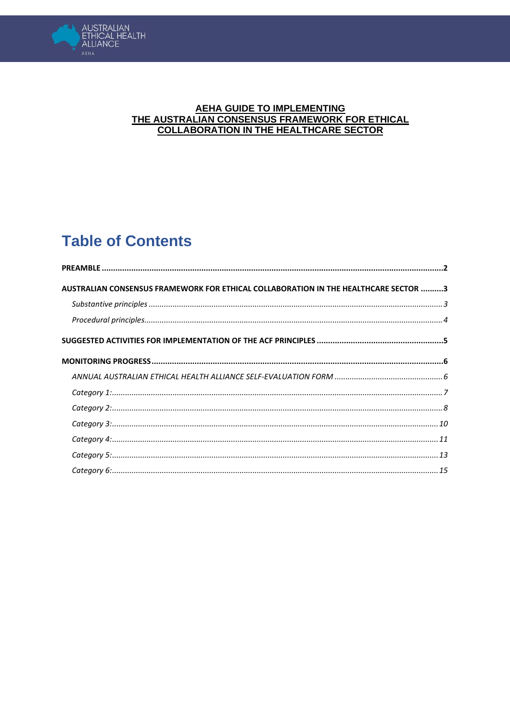

#### **AEHA GUIDE TO IMPLEMENTING** THE AUSTRALIAN CONSENSUS FRAMEWORK FOR ETHICAL **COLLABORATION IN THE HEALTHCARE SECTOR**

# **Table of Contents**

| AUSTRALIAN CONSENSUS FRAMEWORK FOR ETHICAL COLLABORATION IN THE HEALTHCARE SECTOR 3 |  |
|-------------------------------------------------------------------------------------|--|
|                                                                                     |  |
|                                                                                     |  |
|                                                                                     |  |
|                                                                                     |  |
|                                                                                     |  |
|                                                                                     |  |
|                                                                                     |  |
|                                                                                     |  |
|                                                                                     |  |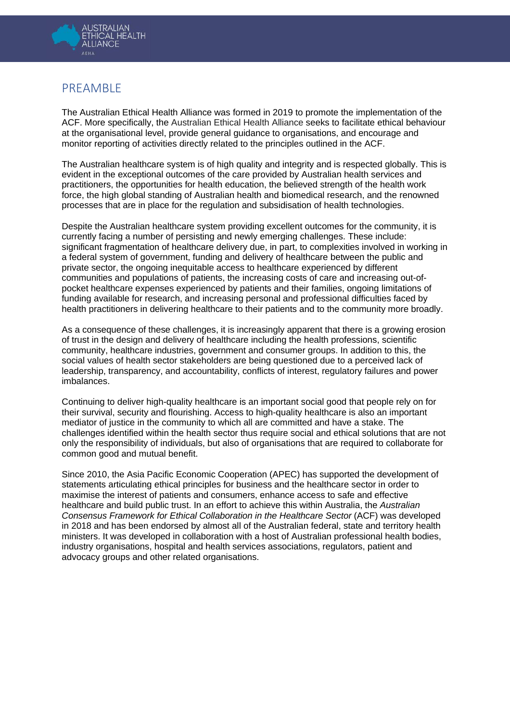

## <span id="page-1-0"></span>PREAMBLE

The Australian Ethical Health Alliance was formed in 2019 to promote the implementation of the ACF. More specifically, the Australian Ethical Health Alliance seeks to facilitate ethical behaviour at the organisational level, provide general guidance to organisations, and encourage and monitor reporting of activities directly related to the principles outlined in the ACF.

The Australian healthcare system is of high quality and integrity and is respected globally. This is evident in the exceptional outcomes of the care provided by Australian health services and practitioners, the opportunities for health education, the believed strength of the health work force, the high global standing of Australian health and biomedical research, and the renowned processes that are in place for the regulation and subsidisation of health technologies.

Despite the Australian healthcare system providing excellent outcomes for the community, it is currently facing a number of persisting and newly emerging challenges. These include: significant fragmentation of healthcare delivery due, in part, to complexities involved in working in a federal system of government, funding and delivery of healthcare between the public and private sector, the ongoing inequitable access to healthcare experienced by different communities and populations of patients, the increasing costs of care and increasing out-ofpocket healthcare expenses experienced by patients and their families, ongoing limitations of funding available for research, and increasing personal and professional difficulties faced by health practitioners in delivering healthcare to their patients and to the community more broadly.

As a consequence of these challenges, it is increasingly apparent that there is a growing erosion of trust in the design and delivery of healthcare including the health professions, scientific community, healthcare industries, government and consumer groups. In addition to this, the social values of health sector stakeholders are being questioned due to a perceived lack of leadership, transparency, and accountability, conflicts of interest, regulatory failures and power imbalances.

Continuing to deliver high-quality healthcare is an important social good that people rely on for their survival, security and flourishing. Access to high-quality healthcare is also an important mediator of justice in the community to which all are committed and have a stake. The challenges identified within the health sector thus require social and ethical solutions that are not only the responsibility of individuals, but also of organisations that are required to collaborate for common good and mutual benefit.

Since 2010, the Asia Pacific Economic Cooperation (APEC) has supported the development of statements articulating ethical principles for business and the healthcare sector in order to maximise the interest of patients and consumers, enhance access to safe and effective healthcare and build public trust. In an effort to achieve this within Australia, the *Australian Consensus Framework for Ethical Collaboration in the Healthcare Sector* (ACF) was developed in 2018 and has been endorsed by almost all of the Australian federal, state and territory health ministers. It was developed in collaboration with a host of Australian professional health bodies, industry organisations, hospital and health services associations, regulators, patient and advocacy groups and other related organisations.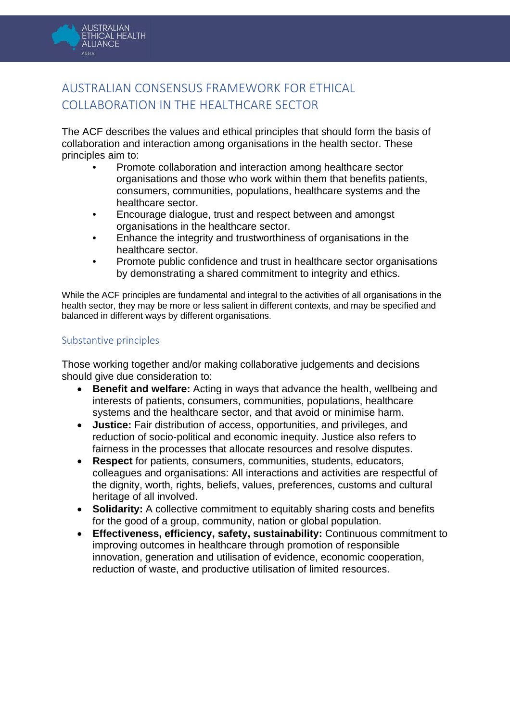

## <span id="page-2-0"></span>AUSTRALIAN CONSENSUS FRAMEWORK FOR ETHICAL COLLABORATION IN THE HEALTHCARE SECTOR

The ACF describes the values and ethical principles that should form the basis of collaboration and interaction among organisations in the health sector. These principles aim to:

- Promote collaboration and interaction among healthcare sector organisations and those who work within them that benefits patients, consumers, communities, populations, healthcare systems and the healthcare sector.
- Encourage dialogue, trust and respect between and amongst organisations in the healthcare sector.
- Enhance the integrity and trustworthiness of organisations in the healthcare sector.
- Promote public confidence and trust in healthcare sector organisations by demonstrating a shared commitment to integrity and ethics.

While the ACF principles are fundamental and integral to the activities of all organisations in the health sector, they may be more or less salient in different contexts, and may be specified and balanced in different ways by different organisations.

## <span id="page-2-1"></span>Substantive principles

Those working together and/or making collaborative judgements and decisions should give due consideration to:

- **Benefit and welfare:** Acting in ways that advance the health, wellbeing and interests of patients, consumers, communities, populations, healthcare systems and the healthcare sector, and that avoid or minimise harm.
- **Justice:** Fair distribution of access, opportunities, and privileges, and reduction of socio-political and economic inequity. Justice also refers to fairness in the processes that allocate resources and resolve disputes.
- **Respect** for patients, consumers, communities, students, educators, colleagues and organisations: All interactions and activities are respectful of the dignity, worth, rights, beliefs, values, preferences, customs and cultural heritage of all involved.
- **Solidarity:** A collective commitment to equitably sharing costs and benefits for the good of a group, community, nation or global population.
- **Effectiveness, efficiency, safety, sustainability:** Continuous commitment to improving outcomes in healthcare through promotion of responsible innovation, generation and utilisation of evidence, economic cooperation, reduction of waste, and productive utilisation of limited resources.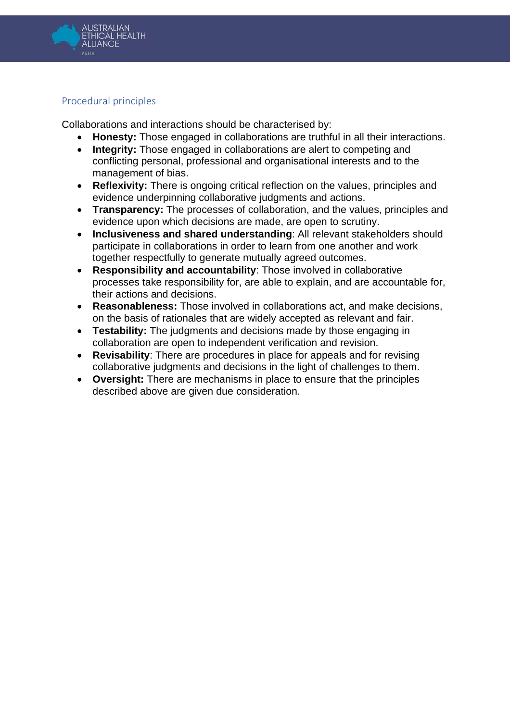

## <span id="page-3-0"></span>Procedural principles

Collaborations and interactions should be characterised by:

- **Honesty:** Those engaged in collaborations are truthful in all their interactions.<br>• Integrity: Those engaged in collaborations are alert to competing and
- **Integrity:** Those engaged in collaborations are alert to competing and conflicting personal, professional and organisational interests and to the management of bias.
- **Reflexivity:** There is ongoing critical reflection on the values, principles and evidence underpinning collaborative judgments and actions.
- **Transparency:** The processes of collaboration, and the values, principles and evidence upon which decisions are made, are open to scrutiny.
- **Inclusiveness and shared understanding**: All relevant stakeholders should participate in collaborations in order to learn from one another and work together respectfully to generate mutually agreed outcomes.
- **Responsibility and accountability**: Those involved in collaborative processes take responsibility for, are able to explain, and are accountable for, their actions and decisions.
- **Reasonableness:** Those involved in collaborations act, and make decisions, on the basis of rationales that are widely accepted as relevant and fair.
- **Testability:** The judgments and decisions made by those engaging in collaboration are open to independent verification and revision.
- **Revisability**: There are procedures in place for appeals and for revising collaborative judgments and decisions in the light of challenges to them.
- **Oversight:** There are mechanisms in place to ensure that the principles described above are given due consideration.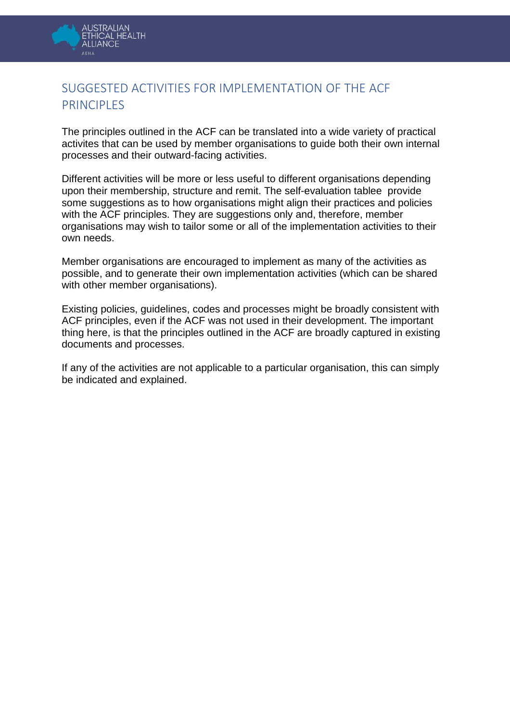

## <span id="page-4-0"></span>SUGGESTED ACTIVITIES FOR IMPLEMENTATION OF THE ACF PRINCIPLES

The principles outlined in the ACF can be translated into a wide variety of practical activites that can be used by member organisations to guide both their own internal processes and their outward-facing activities.

Different activities will be more or less useful to different organisations depending upon their membership, structure and remit. The self-evaluation tablee provide some suggestions as to how organisations might align their practices and policies with the ACF principles. They are suggestions only and, therefore, member organisations may wish to tailor some or all of the implementation activities to their own needs.

Member organisations are encouraged to implement as many of the activities as possible, and to generate their own implementation activities (which can be shared with other member organisations).

Existing policies, guidelines, codes and processes might be broadly consistent with ACF principles, even if the ACF was not used in their development. The important thing here, is that the principles outlined in the ACF are broadly captured in existing documents and processes.

If any of the activities are not applicable to a particular organisation, this can simply be indicated and explained.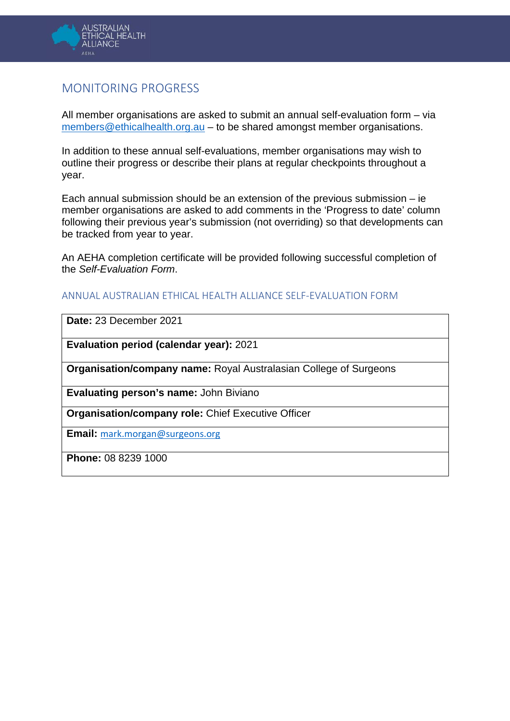

## <span id="page-5-0"></span>MONITORING PROGRESS

All member organisations are asked to submit an annual self-evaluation form – via [members@ethicalhealth.org.au](mailto:members@ethicalhealth.org.au) – to be shared amongst member organisations.

In addition to these annual self-evaluations, member organisations may wish to outline their progress or describe their plans at regular checkpoints throughout a year.

Each annual submission should be an extension of the previous submission – ie member organisations are asked to add comments in the 'Progress to date' column following their previous year's submission (not overriding) so that developments can be tracked from year to year.

An AEHA completion certificate will be provided following successful completion of the *Self-Evaluation Form*.

## <span id="page-5-1"></span>ANNUAL AUSTRALIAN ETHICAL HEALTH ALLIANCE SELF-EVALUATION FORM

**Date:** 23 December 2021

**Evaluation period (calendar year):** 2021

**Organisation/company name:** Royal Australasian College of Surgeons

**Evaluating person's name:** John Biviano

**Organisation/company role:** Chief Executive Officer

**Email:** [mark.morgan@surgeons.org](mailto:mark.morgan@surgeons.org)

**Phone:** 08 8239 1000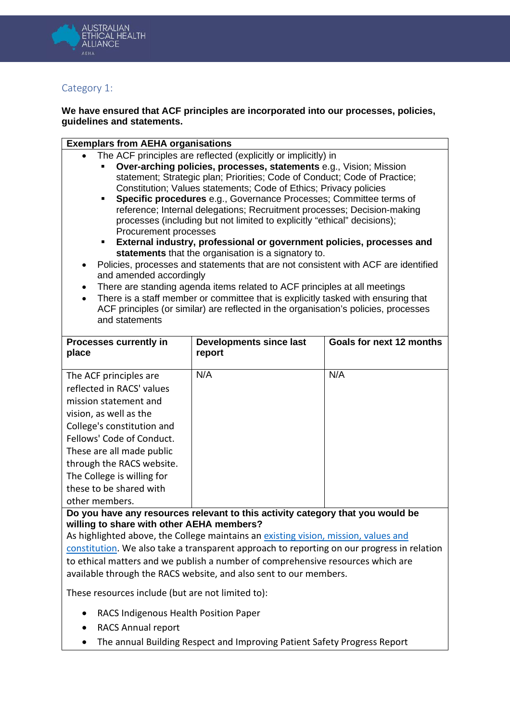

## <span id="page-6-0"></span>Category 1:

#### **We have ensured that ACF principles are incorporated into our processes, policies, guidelines and statements.**

#### **Exemplars from AEHA organisations**

- The ACF principles are reflected (explicitly or implicitly) in
	- **Over-arching policies, processes, statements** e.g., Vision; Mission statement; Strategic plan; Priorities; Code of Conduct; Code of Practice; Constitution; Values statements; Code of Ethics; Privacy policies
	- **Specific procedures** e.g., Governance Processes; Committee terms of reference; Internal delegations; Recruitment processes; Decision-making processes (including but not limited to explicitly "ethical" decisions); Procurement processes
	- **External industry, professional or government policies, processes and statements** that the organisation is a signatory to.
- Policies, processes and statements that are not consistent with ACF are identified and amended accordingly
- There are standing agenda items related to ACF principles at all meetings
- There is a staff member or committee that is explicitly tasked with ensuring that ACF principles (or similar) are reflected in the organisation's policies, processes and statements

| <b>Processes currently in</b><br>place                                                                                                                                                                                                                                                                 | <b>Developments since last</b><br>report | Goals for next 12 months |
|--------------------------------------------------------------------------------------------------------------------------------------------------------------------------------------------------------------------------------------------------------------------------------------------------------|------------------------------------------|--------------------------|
| The ACF principles are<br>reflected in RACS' values<br>mission statement and<br>vision, as well as the<br>College's constitution and<br>Fellows' Code of Conduct.<br>These are all made public<br>through the RACS website.<br>The College is willing for<br>these to be shared with<br>other members. | N/A                                      | N/A                      |

**Do you have any resources relevant to this activity category that you would be willing to share with other AEHA members?**

As highlighted above, the College maintains an existing vision, mission, values and [constitution.](https://www.surgeons.org/about-racs/about-the-college-of-surgeons/our-values-constitution) We also take a transparent approach to reporting on our progress in relation to ethical matters and we publish a number of comprehensive resources which are available through the RACS website, and also sent to our members.

These resources include (but are not limited to):

- RACS Indigenous Health Position Paper
- RACS Annual report
- The annual Building Respect and Improving Patient Safety Progress Report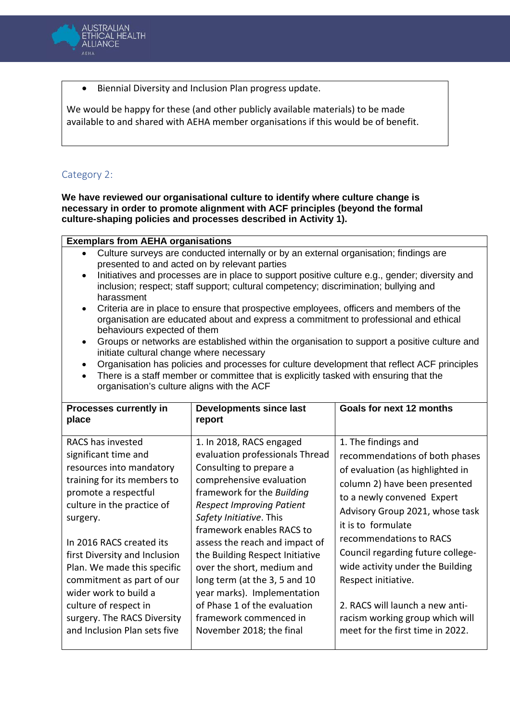

• Biennial Diversity and Inclusion Plan progress update.

We would be happy for these (and other publicly available materials) to be made available to and shared with AEHA member organisations if this would be of benefit.

## <span id="page-7-0"></span>Category 2:

**We have reviewed our organisational culture to identify where culture change is necessary in order to promote alignment with ACF principles (beyond the formal culture-shaping policies and processes described in Activity 1).**

#### **Exemplars from AEHA organisations** • Culture surveys are conducted internally or by an external organisation; findings are presented to and acted on by relevant parties

- Initiatives and processes are in place to support positive culture e.g., gender; diversity and inclusion; respect; staff support; cultural competency; discrimination; bullying and harassment
- Criteria are in place to ensure that prospective employees, officers and members of the organisation are educated about and express a commitment to professional and ethical behaviours expected of them
- Groups or networks are established within the organisation to support a positive culture and initiate cultural change where necessary
- Organisation has policies and processes for culture development that reflect ACF principles
- There is a staff member or committee that is explicitly tasked with ensuring that the organisation's culture aligns with the ACF

| Processes currently in<br>place                                                                                                                                                                                                                                                                                                                                                                                  | <b>Developments since last</b><br>report                                                                                                                                                                                                                                                                                                                                                                                                                                                              | Goals for next 12 months                                                                                                                                                                                                                                                                                                                                                                                                                               |
|------------------------------------------------------------------------------------------------------------------------------------------------------------------------------------------------------------------------------------------------------------------------------------------------------------------------------------------------------------------------------------------------------------------|-------------------------------------------------------------------------------------------------------------------------------------------------------------------------------------------------------------------------------------------------------------------------------------------------------------------------------------------------------------------------------------------------------------------------------------------------------------------------------------------------------|--------------------------------------------------------------------------------------------------------------------------------------------------------------------------------------------------------------------------------------------------------------------------------------------------------------------------------------------------------------------------------------------------------------------------------------------------------|
| RACS has invested<br>significant time and<br>resources into mandatory<br>training for its members to<br>promote a respectful<br>culture in the practice of<br>surgery.<br>In 2016 RACS created its<br>first Diversity and Inclusion<br>Plan. We made this specific<br>commitment as part of our<br>wider work to build a<br>culture of respect in<br>surgery. The RACS Diversity<br>and Inclusion Plan sets five | 1. In 2018, RACS engaged<br>evaluation professionals Thread<br>Consulting to prepare a<br>comprehensive evaluation<br>framework for the Building<br><b>Respect Improving Patient</b><br>Safety Initiative. This<br>framework enables RACS to<br>assess the reach and impact of<br>the Building Respect Initiative<br>over the short, medium and<br>long term (at the 3, 5 and 10<br>year marks). Implementation<br>of Phase 1 of the evaluation<br>framework commenced in<br>November 2018; the final | 1. The findings and<br>recommendations of both phases<br>of evaluation (as highlighted in<br>column 2) have been presented<br>to a newly convened Expert<br>Advisory Group 2021, whose task<br>it is to formulate<br>recommendations to RACS<br>Council regarding future college-<br>wide activity under the Building<br>Respect initiative.<br>2. RACS will launch a new anti-<br>racism working group which will<br>meet for the first time in 2022. |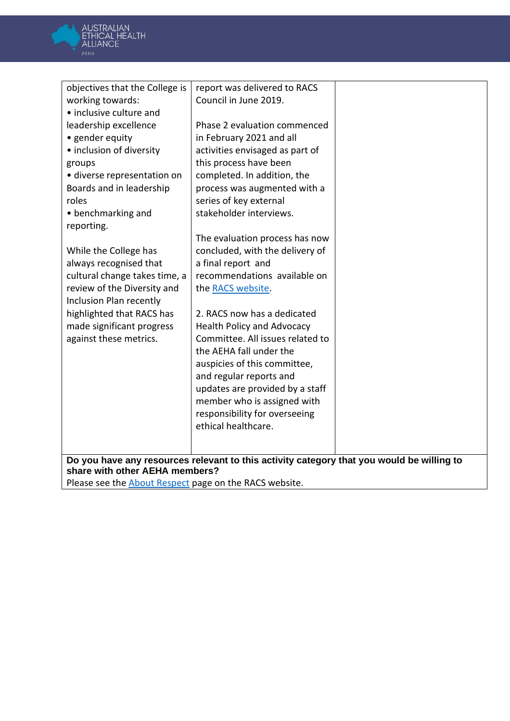

| objectives that the College is<br>report was delivered to RACS                            |
|-------------------------------------------------------------------------------------------|
| Council in June 2019.<br>working towards:                                                 |
| • inclusive culture and                                                                   |
| leadership excellence<br>Phase 2 evaluation commenced                                     |
|                                                                                           |
| • gender equity<br>in February 2021 and all                                               |
| • inclusion of diversity<br>activities envisaged as part of                               |
| this process have been<br>groups                                                          |
| · diverse representation on<br>completed. In addition, the                                |
| Boards and in leadership<br>process was augmented with a                                  |
| series of key external<br>roles                                                           |
| stakeholder interviews.<br>• benchmarking and                                             |
| reporting.                                                                                |
| The evaluation process has now                                                            |
| concluded, with the delivery of<br>While the College has                                  |
| always recognised that<br>a final report and                                              |
| recommendations available on<br>cultural change takes time, a                             |
| review of the Diversity and<br>the RACS website.                                          |
| Inclusion Plan recently                                                                   |
| highlighted that RACS has<br>2. RACS now has a dedicated                                  |
| made significant progress<br><b>Health Policy and Advocacy</b>                            |
| Committee. All issues related to<br>against these metrics.                                |
| the AEHA fall under the                                                                   |
| auspicies of this committee,                                                              |
| and regular reports and                                                                   |
| updates are provided by a staff                                                           |
|                                                                                           |
| member who is assigned with                                                               |
| responsibility for overseeing                                                             |
| ethical healthcare.                                                                       |
|                                                                                           |
| Do you have any resources relevant to this activity category that you would be willing to |
| share with other AEHA members?                                                            |
| Please see the <b>About Respect</b> page on the RACS website.                             |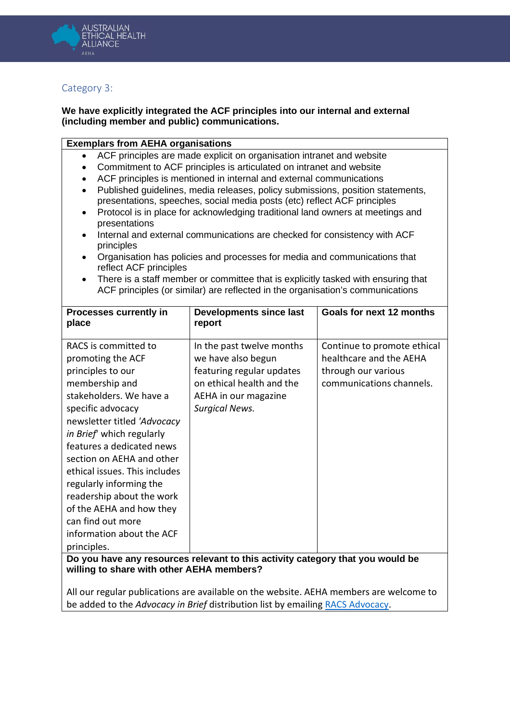

## <span id="page-9-0"></span>Category 3:

### **We have explicitly integrated the ACF principles into our internal and external (including member and public) communications.**

#### **Exemplars from AEHA organisations**

- ACF principles are made explicit on organisation intranet and website
- Commitment to ACF principles is articulated on intranet and website
- ACF principles is mentioned in internal and external communications
- Published guidelines, media releases, policy submissions, position statements, presentations, speeches, social media posts (etc) reflect ACF principles
- Protocol is in place for acknowledging traditional land owners at meetings and presentations
- Internal and external communications are checked for consistency with ACF principles
- Organisation has policies and processes for media and communications that reflect ACF principles
- There is a staff member or committee that is explicitly tasked with ensuring that ACF principles (or similar) are reflected in the organisation's communications

| <b>Processes currently in</b><br>place                                                                                                                                                                                                                                                                                                                                                                                                      | <b>Developments since last</b><br>report                                                                                                                   | Goals for next 12 months                                                                                  |
|---------------------------------------------------------------------------------------------------------------------------------------------------------------------------------------------------------------------------------------------------------------------------------------------------------------------------------------------------------------------------------------------------------------------------------------------|------------------------------------------------------------------------------------------------------------------------------------------------------------|-----------------------------------------------------------------------------------------------------------|
| RACS is committed to<br>promoting the ACF<br>principles to our<br>membership and<br>stakeholders. We have a<br>specific advocacy<br>newsletter titled 'Advocacy<br>in Brief which regularly<br>features a dedicated news<br>section on AEHA and other<br>ethical issues. This includes<br>regularly informing the<br>readership about the work<br>of the AEHA and how they<br>can find out more<br>information about the ACF<br>principles. | In the past twelve months<br>we have also begun<br>featuring regular updates<br>on ethical health and the<br>AEHA in our magazine<br><b>Surgical News.</b> | Continue to promote ethical<br>healthcare and the AEHA<br>through our various<br>communications channels. |
|                                                                                                                                                                                                                                                                                                                                                                                                                                             | Do vou have any resources relevant to this activity category that you would be                                                                             |                                                                                                           |

ou have any resources relevant to this activity category tnat you woul<mark>d be</mark> **willing to share with other AEHA members?**

All our regular publications are available on the website. AEHA members are welcome to be added to the *Advocacy in Brief* distribution list by emailing [RACS Advocacy.](mailto:RACS.Advocacy@surgeons.org)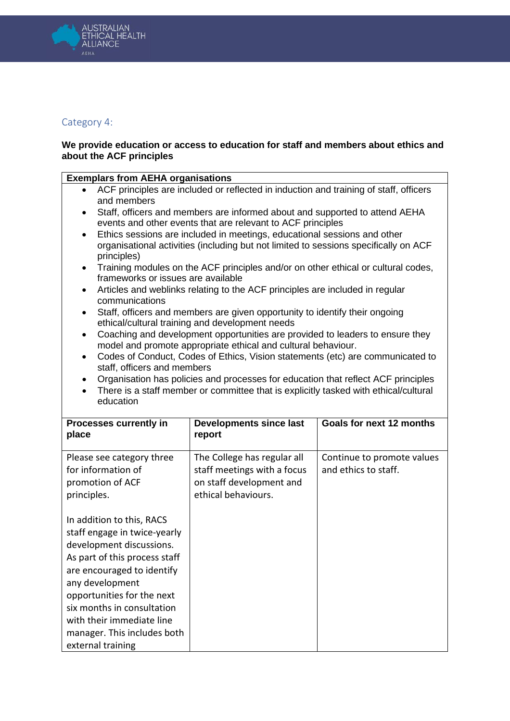

## <span id="page-10-0"></span>Category 4:

#### **We provide education or access to education for staff and members about ethics and about the ACF principles**

| <b>Exemplars from AEHA organisations</b>                                                                                                                                                                                                                                                                                                                                                                                                                                                         |                                                                                                                                |                                                    |  |
|--------------------------------------------------------------------------------------------------------------------------------------------------------------------------------------------------------------------------------------------------------------------------------------------------------------------------------------------------------------------------------------------------------------------------------------------------------------------------------------------------|--------------------------------------------------------------------------------------------------------------------------------|----------------------------------------------------|--|
| ACF principles are included or reflected in induction and training of staff, officers<br>$\bullet$                                                                                                                                                                                                                                                                                                                                                                                               |                                                                                                                                |                                                    |  |
| and members<br>Staff, officers and members are informed about and supported to attend AEHA<br>events and other events that are relevant to ACF principles<br>Ethics sessions are included in meetings, educational sessions and other<br>$\bullet$<br>organisational activities (including but not limited to sessions specifically on ACF<br>principles)<br>Training modules on the ACF principles and/or on other ethical or cultural codes,<br>$\bullet$                                      |                                                                                                                                |                                                    |  |
| $\bullet$<br>communications                                                                                                                                                                                                                                                                                                                                                                                                                                                                      | frameworks or issues are available<br>Articles and weblinks relating to the ACF principles are included in regular             |                                                    |  |
| $\bullet$                                                                                                                                                                                                                                                                                                                                                                                                                                                                                        | Staff, officers and members are given opportunity to identify their ongoing<br>ethical/cultural training and development needs |                                                    |  |
| Coaching and development opportunities are provided to leaders to ensure they<br>$\bullet$<br>model and promote appropriate ethical and cultural behaviour.<br>Codes of Conduct, Codes of Ethics, Vision statements (etc) are communicated to<br>$\bullet$<br>staff, officers and members<br>Organisation has policies and processes for education that reflect ACF principles<br>$\bullet$<br>There is a staff member or committee that is explicitly tasked with ethical/cultural<br>education |                                                                                                                                |                                                    |  |
|                                                                                                                                                                                                                                                                                                                                                                                                                                                                                                  |                                                                                                                                |                                                    |  |
|                                                                                                                                                                                                                                                                                                                                                                                                                                                                                                  |                                                                                                                                |                                                    |  |
| Processes currently in<br>place                                                                                                                                                                                                                                                                                                                                                                                                                                                                  | <b>Developments since last</b><br>report                                                                                       | Goals for next 12 months                           |  |
| Please see category three<br>for information of<br>promotion of ACF<br>principles.                                                                                                                                                                                                                                                                                                                                                                                                               | The College has regular all<br>staff meetings with a focus<br>on staff development and<br>ethical behaviours.                  | Continue to promote values<br>and ethics to staff. |  |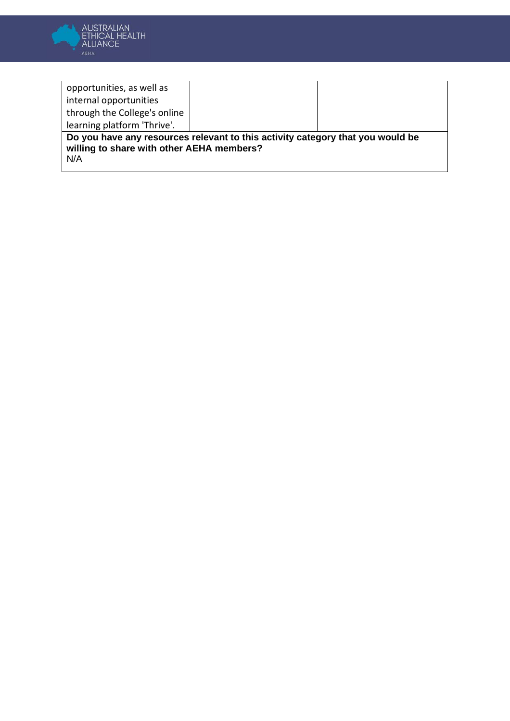

| opportunities, as well as                        |                                                                                |  |
|--------------------------------------------------|--------------------------------------------------------------------------------|--|
| internal opportunities                           |                                                                                |  |
| through the College's online                     |                                                                                |  |
| learning platform 'Thrive'.                      |                                                                                |  |
| willing to share with other AEHA members?<br>N/A | Do you have any resources relevant to this activity category that you would be |  |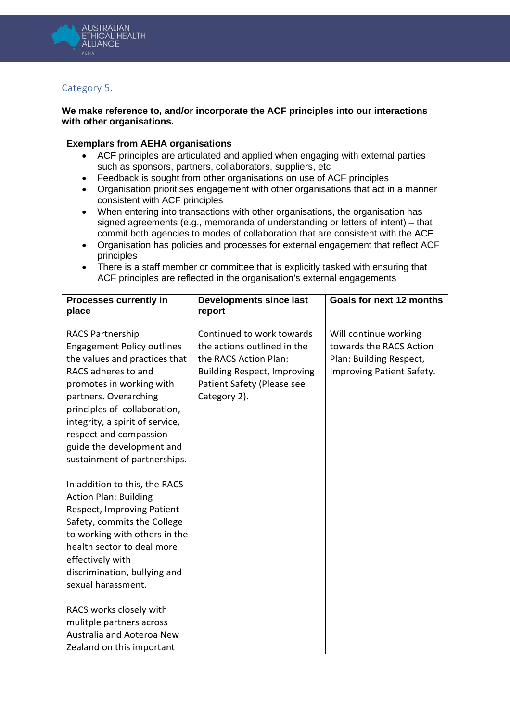

## <span id="page-12-0"></span>Category 5:

#### **We make reference to, and/or incorporate the ACF principles into our interactions with other organisations.**

### **Exemplars from AEHA organisations**

- ACF principles are articulated and applied when engaging with external parties such as sponsors, partners, collaborators, suppliers, etc
- Feedback is sought from other organisations on use of ACF principles
- Organisation prioritises engagement with other organisations that act in a manner consistent with ACF principles
- When entering into transactions with other organisations, the organisation has signed agreements (e.g., memoranda of understanding or letters of intent) – that commit both agencies to modes of collaboration that are consistent with the ACF
- Organisation has policies and processes for external engagement that reflect ACF principles
- There is a staff member or committee that is explicitly tasked with ensuring that ACF principles are reflected in the organisation's external engagements

| <b>Processes currently in</b><br>place                                                                                                                                                                                                                                                                                              | <b>Developments since last</b><br>report                                                                                                                              | Goals for next 12 months                                                                                 |
|-------------------------------------------------------------------------------------------------------------------------------------------------------------------------------------------------------------------------------------------------------------------------------------------------------------------------------------|-----------------------------------------------------------------------------------------------------------------------------------------------------------------------|----------------------------------------------------------------------------------------------------------|
| <b>RACS Partnership</b><br><b>Engagement Policy outlines</b><br>the values and practices that<br>RACS adheres to and<br>promotes in working with<br>partners. Overarching<br>principles of collaboration,<br>integrity, a spirit of service,<br>respect and compassion<br>guide the development and<br>sustainment of partnerships. | Continued to work towards<br>the actions outlined in the<br>the RACS Action Plan:<br><b>Building Respect, Improving</b><br>Patient Safety (Please see<br>Category 2). | Will continue working<br>towards the RACS Action<br>Plan: Building Respect,<br>Improving Patient Safety. |
| In addition to this, the RACS<br><b>Action Plan: Building</b><br><b>Respect, Improving Patient</b><br>Safety, commits the College<br>to working with others in the<br>health sector to deal more<br>effectively with<br>discrimination, bullying and<br>sexual harassment.                                                          |                                                                                                                                                                       |                                                                                                          |
| RACS works closely with<br>mulitple partners across<br>Australia and Aoteroa New<br>Zealand on this important                                                                                                                                                                                                                       |                                                                                                                                                                       |                                                                                                          |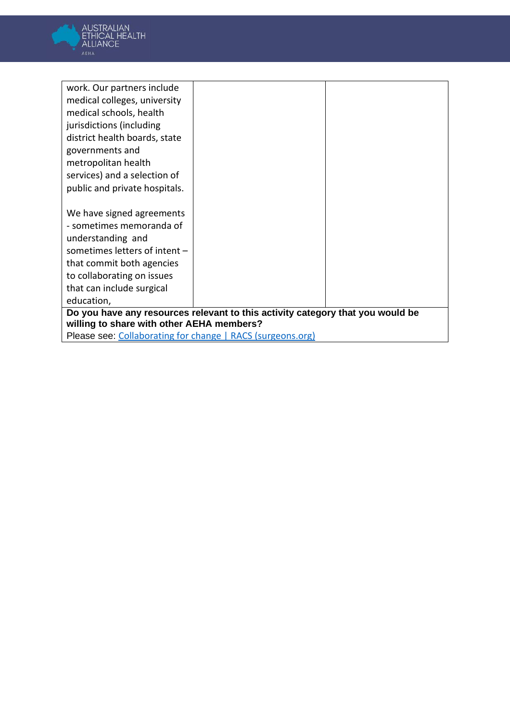

| work. Our partners include                                 |                                                                                |  |
|------------------------------------------------------------|--------------------------------------------------------------------------------|--|
| medical colleges, university                               |                                                                                |  |
| medical schools, health                                    |                                                                                |  |
| jurisdictions (including                                   |                                                                                |  |
| district health boards, state                              |                                                                                |  |
| governments and                                            |                                                                                |  |
| metropolitan health                                        |                                                                                |  |
| services) and a selection of                               |                                                                                |  |
| public and private hospitals.                              |                                                                                |  |
|                                                            |                                                                                |  |
| We have signed agreements                                  |                                                                                |  |
| - sometimes memoranda of                                   |                                                                                |  |
| understanding and                                          |                                                                                |  |
| sometimes letters of intent -                              |                                                                                |  |
| that commit both agencies                                  |                                                                                |  |
| to collaborating on issues                                 |                                                                                |  |
| that can include surgical                                  |                                                                                |  |
| education,                                                 |                                                                                |  |
|                                                            | Do you have any resources relevant to this activity category that you would be |  |
| willing to share with other AEHA members?                  |                                                                                |  |
| Please see: Collaborating for change   RACS (surgeons.org) |                                                                                |  |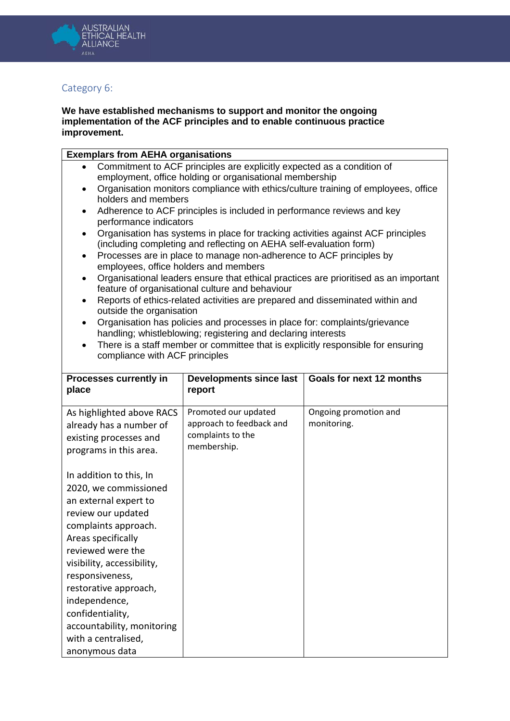

## <span id="page-14-0"></span>Category 6:

#### **We have established mechanisms to support and monitor the ongoing implementation of the ACF principles and to enable continuous practice improvement.**

|  | <b>Exemplars from AEHA organisations</b>                                                      |  |
|--|-----------------------------------------------------------------------------------------------|--|
|  | $\Omega$ and $\Omega$ is the set to $\Lambda$ $\Omega$ $\Gamma$ make the late set of $\Omega$ |  |

- Commitment to ACF principles are explicitly expected as a condition of employment, office holding or organisational membership
- Organisation monitors compliance with ethics/culture training of employees, office holders and members
- Adherence to ACF principles is included in performance reviews and key performance indicators
- Organisation has systems in place for tracking activities against ACF principles (including completing and reflecting on AEHA self-evaluation form)
- Processes are in place to manage non-adherence to ACF principles by employees, office holders and members
- Organisational leaders ensure that ethical practices are prioritised as an important feature of organisational culture and behaviour
- Reports of ethics-related activities are prepared and disseminated within and outside the organisation
- Organisation has policies and processes in place for: complaints/grievance handling; whistleblowing; registering and declaring interests
- There is a staff member or committee that is explicitly responsible for ensuring compliance with ACF principles

| Processes currently in<br>place                                                                                                                                                                                                                                                                                                        | Developments since last<br>report                                                    | Goals for next 12 months             |
|----------------------------------------------------------------------------------------------------------------------------------------------------------------------------------------------------------------------------------------------------------------------------------------------------------------------------------------|--------------------------------------------------------------------------------------|--------------------------------------|
| As highlighted above RACS<br>already has a number of<br>existing processes and<br>programs in this area.                                                                                                                                                                                                                               | Promoted our updated<br>approach to feedback and<br>complaints to the<br>membership. | Ongoing promotion and<br>monitoring. |
| In addition to this, In<br>2020, we commissioned<br>an external expert to<br>review our updated<br>complaints approach.<br>Areas specifically<br>reviewed were the<br>visibility, accessibility,<br>responsiveness,<br>restorative approach,<br>independence,<br>confidentiality,<br>accountability, monitoring<br>with a centralised, |                                                                                      |                                      |
| anonymous data                                                                                                                                                                                                                                                                                                                         |                                                                                      |                                      |